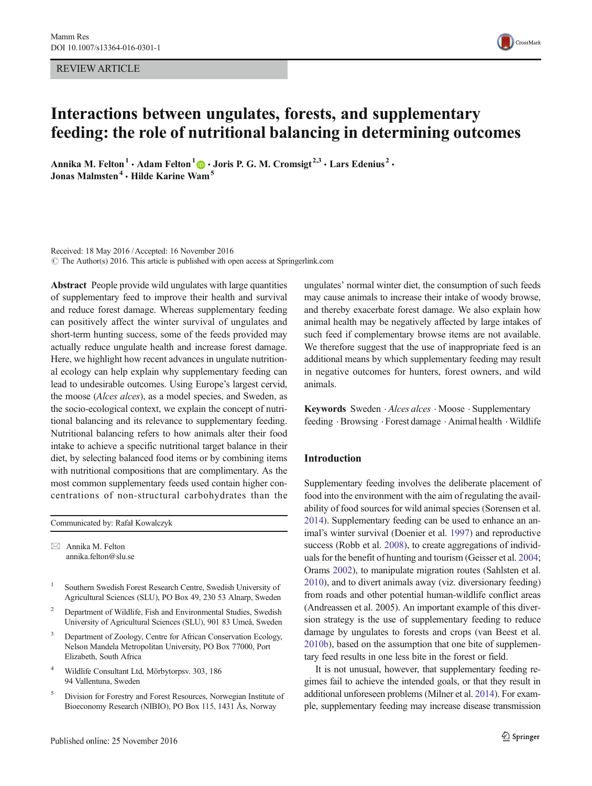REVIEW ARTICLE



# Interactions between ungulates, forests, and supplementary feeding: the role of nutritional balancing in determining outcomes

Annika M. Felton<sup>1</sup> • Adam Felton<sup>1</sup>  $\mathbf{D}$  • Joris P. G. M. Cromsigt<sup>2,3</sup> • Lars Edenius<sup>2</sup> • Jonas Malmsten<sup>4</sup> . Hilde Karine Wam<sup>5</sup>

Received: 18 May 2016 /Accepted: 16 November 2016  $\odot$  The Author(s) 2016. This article is published with open access at Springerlink.com

Abstract People provide wild ungulates with large quantities of supplementary feed to improve their health and survival and reduce forest damage. Whereas supplementary feeding can positively affect the winter survival of ungulates and short-term hunting success, some of the feeds provided may actually reduce ungulate health and increase forest damage. Here, we highlight how recent advances in ungulate nutritional ecology can help explain why supplementary feeding can lead to undesirable outcomes. Using Europe's largest cervid, the moose (Alces alces), as a model species, and Sweden, as the socio-ecological context, we explain the concept of nutritional balancing and its relevance to supplementary feeding. Nutritional balancing refers to how animals alter their food intake to achieve a specific nutritional target balance in their diet, by selecting balanced food items or by combining items with nutritional compositions that are complimentary. As the most common supplementary feeds used contain higher concentrations of non-structural carbohydrates than the

Communicated by: Rafał Kowalczyk

 $\boxtimes$  Annika M. Felton annika.felton@slu.se

- <sup>1</sup> Southern Swedish Forest Research Centre, Swedish University of Agricultural Sciences (SLU), PO Box 49, 230 53 Alnarp, Sweden
- <sup>2</sup> Department of Wildlife, Fish and Environmental Studies, Swedish University of Agricultural Sciences (SLU), 901 83 Umeå, Sweden
- <sup>3</sup> Department of Zoology, Centre for African Conservation Ecology, Nelson Mandela Metropolitan University, PO Box 77000, Port Elizabeth, South Africa
- <sup>4</sup> Wildlife Consultant Ltd, Mörbytorpsv. 303, 186 94 Vallentuna, Sweden
- <sup>5</sup> Division for Forestry and Forest Resources, Norwegian Institute of Bioeconomy Research (NIBIO), PO Box 115, 1431 Ås, Norway

ungulates' normal winter diet, the consumption of such feeds may cause animals to increase their intake of woody browse, and thereby exacerbate forest damage. We also explain how animal health may be negatively affected by large intakes of such feed if complementary browse items are not available. We therefore suggest that the use of inappropriate feed is an additional means by which supplementary feeding may result in negative outcomes for hunters, forest owners, and wild animals.

Keywords Sweden · Alces alces · Moose · Supplementary feeding .Browsing . Forest damage . Animal health .Wildlife

#### Introduction

Supplementary feeding involves the deliberate placement of food into the environment with the aim of regulating the availability of food sources for wild animal species (Sorensen et al. [2014\)](#page-6-0). Supplementary feeding can be used to enhance an animal's winter survival (Doenier et al. [1997](#page-5-0)) and reproductive success (Robb et al. [2008](#page-6-0)), to create aggregations of individuals for the benefit of hunting and tourism (Geisser et al. [2004;](#page-5-0) Orams [2002\)](#page-6-0), to manipulate migration routes (Sahlsten et al. [2010\)](#page-6-0), and to divert animals away (viz. diversionary feeding) from roads and other potential human-wildlife conflict areas (Andreassen et al. 2005). An important example of this diversion strategy is the use of supplementary feeding to reduce damage by ungulates to forests and crops (van Beest et al. [2010b\)](#page-6-0), based on the assumption that one bite of supplementary feed results in one less bite in the forest or field.

It is not unusual, however, that supplementary feeding regimes fail to achieve the intended goals, or that they result in additional unforeseen problems (Milner et al. [2014](#page-6-0)). For example, supplementary feeding may increase disease transmission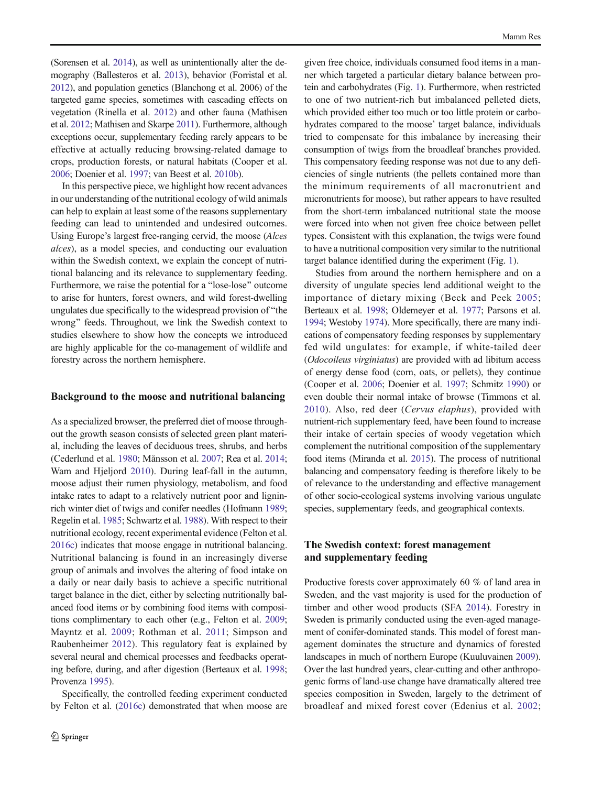(Sorensen et al. [2014](#page-6-0)), as well as unintentionally alter the demography (Ballesteros et al. [2013\)](#page-5-0), behavior (Forristal et al. [2012](#page-5-0)), and population genetics (Blanchong et al. 2006) of the targeted game species, sometimes with cascading effects on vegetation (Rinella et al. [2012\)](#page-6-0) and other fauna (Mathisen et al. [2012](#page-6-0); Mathisen and Skarpe [2011](#page-6-0)). Furthermore, although exceptions occur, supplementary feeding rarely appears to be effective at actually reducing browsing-related damage to crops, production forests, or natural habitats (Cooper et al. [2006](#page-5-0); Doenier et al. [1997](#page-5-0); van Beest et al. [2010b\)](#page-6-0).

In this perspective piece, we highlight how recent advances in our understanding of the nutritional ecology of wild animals can help to explain at least some of the reasons supplementary feeding can lead to unintended and undesired outcomes. Using Europe's largest free-ranging cervid, the moose (Alces alces), as a model species, and conducting our evaluation within the Swedish context, we explain the concept of nutritional balancing and its relevance to supplementary feeding. Furthermore, we raise the potential for a "lose-lose" outcome to arise for hunters, forest owners, and wild forest-dwelling ungulates due specifically to the widespread provision of "the wrong" feeds. Throughout, we link the Swedish context to studies elsewhere to show how the concepts we introduced are highly applicable for the co-management of wildlife and forestry across the northern hemisphere.

### Background to the moose and nutritional balancing

As a specialized browser, the preferred diet of moose throughout the growth season consists of selected green plant material, including the leaves of deciduous trees, shrubs, and herbs (Cederlund et al. [1980](#page-5-0); Månsson et al. [2007](#page-6-0); Rea et al. [2014](#page-6-0); Wam and Hjeljord [2010\)](#page-6-0). During leaf-fall in the autumn, moose adjust their rumen physiology, metabolism, and food intake rates to adapt to a relatively nutrient poor and ligninrich winter diet of twigs and conifer needles (Hofmann [1989](#page-5-0); Regelin et al. [1985;](#page-6-0) Schwartz et al. [1988\)](#page-6-0). With respect to their nutritional ecology, recent experimental evidence (Felton et al. [2016c\)](#page-5-0) indicates that moose engage in nutritional balancing. Nutritional balancing is found in an increasingly diverse group of animals and involves the altering of food intake on a daily or near daily basis to achieve a specific nutritional target balance in the diet, either by selecting nutritionally balanced food items or by combining food items with compositions complimentary to each other (e.g., Felton et al. [2009](#page-5-0); Mayntz et al. [2009;](#page-6-0) Rothman et al. [2011](#page-6-0); Simpson and Raubenheimer [2012\)](#page-6-0). This regulatory feat is explained by several neural and chemical processes and feedbacks operating before, during, and after digestion (Berteaux et al. [1998](#page-5-0); Provenza [1995](#page-6-0)).

Specifically, the controlled feeding experiment conducted by Felton et al. [\(2016c](#page-5-0)) demonstrated that when moose are given free choice, individuals consumed food items in a manner which targeted a particular dietary balance between protein and carbohydrates (Fig. [1](#page-2-0)). Furthermore, when restricted to one of two nutrient-rich but imbalanced pelleted diets, which provided either too much or too little protein or carbohydrates compared to the moose' target balance, individuals tried to compensate for this imbalance by increasing their consumption of twigs from the broadleaf branches provided. This compensatory feeding response was not due to any deficiencies of single nutrients (the pellets contained more than the minimum requirements of all macronutrient and micronutrients for moose), but rather appears to have resulted from the short-term imbalanced nutritional state the moose were forced into when not given free choice between pellet types. Consistent with this explanation, the twigs were found to have a nutritional composition very similar to the nutritional target balance identified during the experiment (Fig. [1\)](#page-2-0).

Studies from around the northern hemisphere and on a diversity of ungulate species lend additional weight to the importance of dietary mixing (Beck and Peek [2005;](#page-5-0) Berteaux et al. [1998;](#page-5-0) Oldemeyer et al. [1977](#page-6-0); Parsons et al. [1994;](#page-6-0) Westoby [1974\)](#page-6-0). More specifically, there are many indications of compensatory feeding responses by supplementary fed wild ungulates: for example, if white-tailed deer (Odocoileus virginiatus) are provided with ad libitum access of energy dense food (corn, oats, or pellets), they continue (Cooper et al. [2006](#page-5-0); Doenier et al. [1997](#page-5-0); Schmitz [1990](#page-6-0)) or even double their normal intake of browse (Timmons et al. [2010](#page-6-0)). Also, red deer (Cervus elaphus), provided with nutrient-rich supplementary feed, have been found to increase their intake of certain species of woody vegetation which complement the nutritional composition of the supplementary food items (Miranda et al. [2015](#page-6-0)). The process of nutritional balancing and compensatory feeding is therefore likely to be of relevance to the understanding and effective management of other socio-ecological systems involving various ungulate species, supplementary feeds, and geographical contexts.

# The Swedish context: forest management and supplementary feeding

Productive forests cover approximately 60 % of land area in Sweden, and the vast majority is used for the production of timber and other wood products (SFA [2014](#page-6-0)). Forestry in Sweden is primarily conducted using the even-aged management of conifer-dominated stands. This model of forest management dominates the structure and dynamics of forested landscapes in much of northern Europe (Kuuluvainen [2009\)](#page-5-0). Over the last hundred years, clear-cutting and other anthropogenic forms of land-use change have dramatically altered tree species composition in Sweden, largely to the detriment of broadleaf and mixed forest cover (Edenius et al. [2002;](#page-5-0)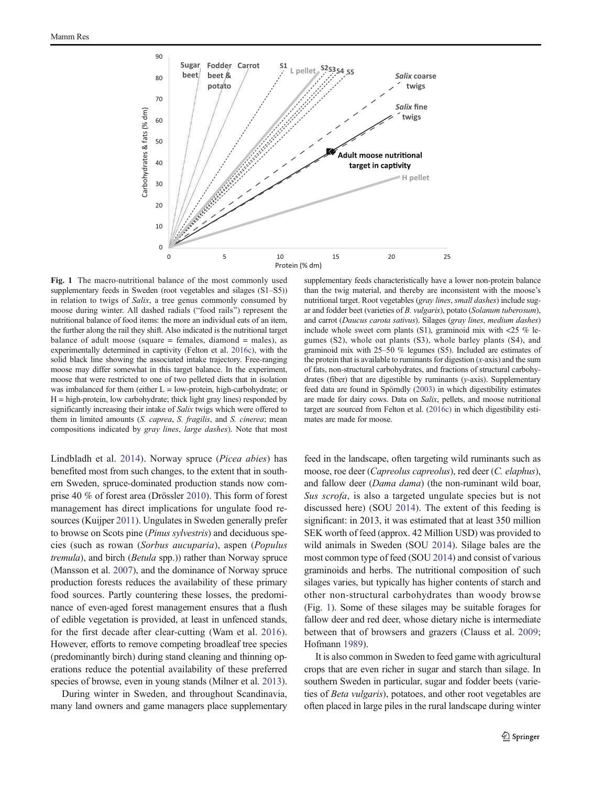<span id="page-2-0"></span>

Fig. 1 The macro-nutritional balance of the most commonly used supplementary feeds in Sweden (root vegetables and silages (S1–S5)) in relation to twigs of *Salix*, a tree genus commonly consumed by moose during winter. All dashed radials ("food rails") represent the nutritional balance of food items: the more an individual eats of an item, the further along the rail they shift. Also indicated is the nutritional target balance of adult moose (square  $=$  females, diamond  $=$  males), as experimentally determined in captivity (Felton et al. [2016c](#page-5-0)), with the solid black line showing the associated intake trajectory. Free-ranging moose may differ somewhat in this target balance. In the experiment, moose that were restricted to one of two pelleted diets that in isolation was imbalanced for them (either  $L = low$ -protein, high-carbohydrate; or  $H = high-protein$ , low carbohydrate; thick light gray lines) responded by significantly increasing their intake of Salix twigs which were offered to them in limited amounts (S. *caprea*, S. *fragilis*, and S. *cinerea*; mean compositions indicated by gray lines, large dashes). Note that most

Lindbladh et al. [2014](#page-5-0)). Norway spruce (Picea abies) has benefited most from such changes, to the extent that in southern Sweden, spruce-dominated production stands now comprise 40 % of forest area (Drössler [2010](#page-5-0)). This form of forest management has direct implications for ungulate food resources (Kuijper [2011](#page-5-0)). Ungulates in Sweden generally prefer to browse on Scots pine (Pinus sylvestris) and deciduous species (such as rowan (Sorbus aucuparia), aspen (Populus tremula), and birch (Betula spp.)) rather than Norway spruce (Mansson et al. [2007\)](#page-5-0), and the dominance of Norway spruce production forests reduces the availability of these primary food sources. Partly countering these losses, the predominance of even-aged forest management ensures that a flush of edible vegetation is provided, at least in unfenced stands, for the first decade after clear-cutting (Wam et al. [2016](#page-6-0)). However, efforts to remove competing broadleaf tree species (predominantly birch) during stand cleaning and thinning operations reduce the potential availability of these preferred species of browse, even in young stands (Milner et al. [2013\)](#page-6-0).

During winter in Sweden, and throughout Scandinavia, many land owners and game managers place supplementary

supplementary feeds characteristically have a lower non-protein balance than the twig material, and thereby are inconsistent with the moose's nutritional target. Root vegetables (gray lines, small dashes) include sugar and fodder beet (varieties of B. vulgaris), potato (Solanum tuberosum), and carrot (Daucus carota sativus). Silages (gray lines, medium dashes) include whole sweet corn plants (S1), graminoid mix with  $\langle 25 \, \% \rangle$  legumes (S2), whole oat plants (S3), whole barley plants (S4), and graminoid mix with 25–50 % legumes (S5). Included are estimates of the protein that is available to ruminants for digestion  $(x-axis)$  and the sum of fats, non-structural carbohydrates, and fractions of structural carbohydrates (fiber) that are digestible by ruminants (y-axis). Supplementary feed data are found in Spörndly ([2003](#page-6-0)) in which digestibility estimates are made for dairy cows. Data on Salix, pellets, and moose nutritional target are sourced from Felton et al. ([2016c\)](#page-5-0) in which digestibility estimates are made for moose.

feed in the landscape, often targeting wild ruminants such as moose, roe deer (Capreolus capreolus), red deer (C. elaphus), and fallow deer (Dama dama) (the non-ruminant wild boar, Sus scrofa, is also a targeted ungulate species but is not discussed here) (SOU [2014](#page-6-0)). The extent of this feeding is significant: in 2013, it was estimated that at least 350 million SEK worth of feed (approx. 42 Million USD) was provided to wild animals in Sweden (SOU [2014\)](#page-6-0). Silage bales are the most common type of feed (SOU [2014](#page-6-0)) and consist of various graminoids and herbs. The nutritional composition of such silages varies, but typically has higher contents of starch and other non-structural carbohydrates than woody browse (Fig. 1). Some of these silages may be suitable forages for fallow deer and red deer, whose dietary niche is intermediate between that of browsers and grazers (Clauss et al. [2009;](#page-5-0) Hofmann [1989](#page-5-0)).

It is also common in Sweden to feed game with agricultural crops that are even richer in sugar and starch than silage. In southern Sweden in particular, sugar and fodder beets (varieties of Beta vulgaris), potatoes, and other root vegetables are often placed in large piles in the rural landscape during winter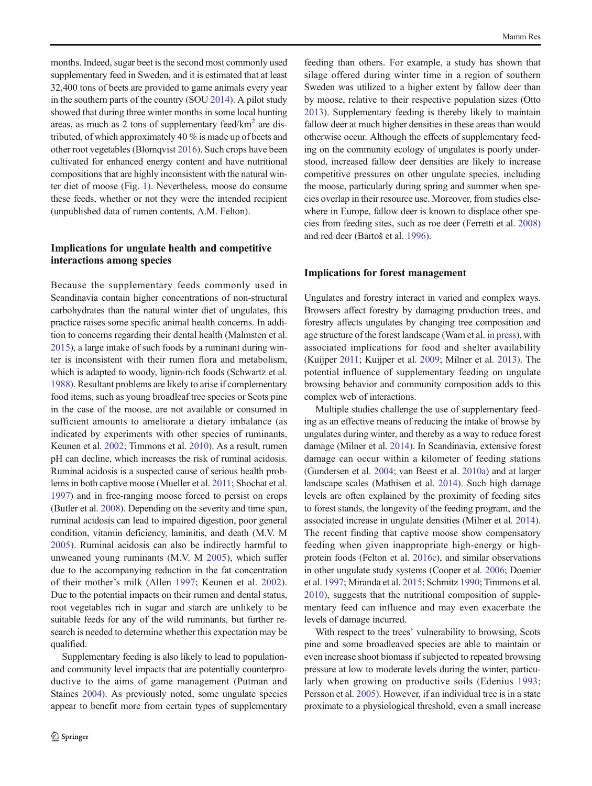months. Indeed, sugar beet is the second most commonly used supplementary feed in Sweden, and it is estimated that at least 32,400 tons of beets are provided to game animals every year in the southern parts of the country (SOU [2014](#page-6-0)). A pilot study showed that during three winter months in some local hunting areas, as much as 2 tons of supplementary feed/km<sup>2</sup> are distributed, of which approximately 40 % is made up of beets and other root vegetables (Blomqvist [2016](#page-5-0)). Such crops have been cultivated for enhanced energy content and have nutritional compositions that are highly inconsistent with the natural winter diet of moose (Fig. [1\)](#page-2-0). Nevertheless, moose do consume these feeds, whether or not they were the intended recipient (unpublished data of rumen contents, A.M. Felton).

# Implications for ungulate health and competitive interactions among species

Because the supplementary feeds commonly used in Scandinavia contain higher concentrations of non-structural carbohydrates than the natural winter diet of ungulates, this practice raises some specific animal health concerns. In addition to concerns regarding their dental health (Malmsten et al. [2015\)](#page-5-0), a large intake of such foods by a ruminant during winter is inconsistent with their rumen flora and metabolism, which is adapted to woody, lignin-rich foods (Schwartz et al. [1988\)](#page-6-0). Resultant problems are likely to arise if complementary food items, such as young broadleaf tree species or Scots pine in the case of the moose, are not available or consumed in sufficient amounts to ameliorate a dietary imbalance (as indicated by experiments with other species of ruminants, Keunen et al. [2002;](#page-5-0) Timmons et al. [2010\)](#page-6-0). As a result, rumen pH can decline, which increases the risk of ruminal acidosis. Ruminal acidosis is a suspected cause of serious health problems in both captive moose (Mueller et al. [2011;](#page-6-0) Shochat et al. [1997\)](#page-6-0) and in free-ranging moose forced to persist on crops (Butler et al. [2008\)](#page-5-0). Depending on the severity and time span, ruminal acidosis can lead to impaired digestion, poor general condition, vitamin deficiency, laminitis, and death (M.V. M [2005](#page-5-0)). Ruminal acidosis can also be indirectly harmful to unweaned young ruminants (M.V. M [2005](#page-5-0)), which suffer due to the accompanying reduction in the fat concentration of their mother's milk (Allen [1997;](#page-4-0) Keunen et al. [2002](#page-5-0)). Due to the potential impacts on their rumen and dental status, root vegetables rich in sugar and starch are unlikely to be suitable feeds for any of the wild ruminants, but further research is needed to determine whether this expectation may be qualified.

Supplementary feeding is also likely to lead to populationand community level impacts that are potentially counterproductive to the aims of game management (Putman and Staines [2004](#page-6-0)). As previously noted, some ungulate species appear to benefit more from certain types of supplementary

feeding than others. For example, a study has shown that silage offered during winter time in a region of southern Sweden was utilized to a higher extent by fallow deer than by moose, relative to their respective population sizes (Otto [2013\)](#page-6-0). Supplementary feeding is thereby likely to maintain fallow deer at much higher densities in these areas than would otherwise occur. Although the effects of supplementary feeding on the community ecology of ungulates is poorly understood, increased fallow deer densities are likely to increase competitive pressures on other ungulate species, including the moose, particularly during spring and summer when species overlap in their resource use. Moreover, from studies elsewhere in Europe, fallow deer is known to displace other species from feeding sites, such as roe deer (Ferretti et al. [2008](#page-5-0)) and red deer (Bartoš et al. [1996\)](#page-5-0).

#### Implications for forest management

Ungulates and forestry interact in varied and complex ways. Browsers affect forestry by damaging production trees, and forestry affects ungulates by changing tree composition and age structure of the forest landscape (Wam et al. [in press](#page-6-0)), with associated implications for food and shelter availability (Kuijper [2011](#page-5-0); Kuijper et al. [2009](#page-5-0); Milner et al. [2013](#page-6-0)). The potential influence of supplementary feeding on ungulate browsing behavior and community composition adds to this complex web of interactions.

Multiple studies challenge the use of supplementary feeding as an effective means of reducing the intake of browse by ungulates during winter, and thereby as a way to reduce forest damage (Milner et al. [2014](#page-6-0)). In Scandinavia, extensive forest damage can occur within a kilometer of feeding stations (Gundersen et al. [2004](#page-5-0); van Beest et al. [2010a\)](#page-6-0) and at larger landscape scales (Mathisen et al. [2014\)](#page-6-0). Such high damage levels are often explained by the proximity of feeding sites to forest stands, the longevity of the feeding program, and the associated increase in ungulate densities (Milner et al. [2014\)](#page-6-0). The recent finding that captive moose show compensatory feeding when given inappropriate high-energy or highprotein foods (Felton et al. [2016c](#page-5-0)), and similar observations in other ungulate study systems (Cooper et al. [2006;](#page-5-0) Doenier et al. [1997;](#page-5-0) Miranda et al. [2015;](#page-6-0) Schmitz [1990;](#page-6-0) Timmons et al. [2010\)](#page-6-0), suggests that the nutritional composition of supplementary feed can influence and may even exacerbate the levels of damage incurred.

With respect to the trees' vulnerability to browsing, Scots pine and some broadleaved species are able to maintain or even increase shoot biomass if subjected to repeated browsing pressure at low to moderate levels during the winter, particularly when growing on productive soils (Edenius [1993;](#page-5-0) Persson et al. [2005](#page-6-0)). However, if an individual tree is in a state proximate to a physiological threshold, even a small increase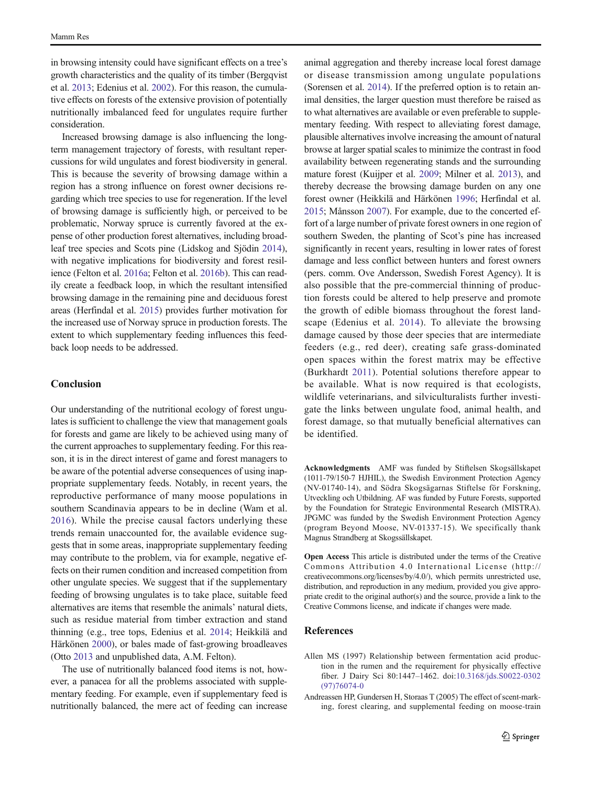<span id="page-4-0"></span>in browsing intensity could have significant effects on a tree's growth characteristics and the quality of its timber (Bergqvist et al. [2013](#page-5-0); Edenius et al. [2002](#page-5-0)). For this reason, the cumulative effects on forests of the extensive provision of potentially nutritionally imbalanced feed for ungulates require further consideration.

Increased browsing damage is also influencing the longterm management trajectory of forests, with resultant repercussions for wild ungulates and forest biodiversity in general. This is because the severity of browsing damage within a region has a strong influence on forest owner decisions regarding which tree species to use for regeneration. If the level of browsing damage is sufficiently high, or perceived to be problematic, Norway spruce is currently favored at the expense of other production forest alternatives, including broadleaf tree species and Scots pine (Lidskog and Sjödin [2014\)](#page-5-0), with negative implications for biodiversity and forest resilience (Felton et al. [2016a;](#page-5-0) Felton et al. [2016b](#page-5-0)). This can readily create a feedback loop, in which the resultant intensified browsing damage in the remaining pine and deciduous forest areas (Herfindal et al. [2015\)](#page-5-0) provides further motivation for the increased use of Norway spruce in production forests. The extent to which supplementary feeding influences this feedback loop needs to be addressed.

# Conclusion

Our understanding of the nutritional ecology of forest ungulates is sufficient to challenge the view that management goals for forests and game are likely to be achieved using many of the current approaches to supplementary feeding. For this reason, it is in the direct interest of game and forest managers to be aware of the potential adverse consequences of using inappropriate supplementary feeds. Notably, in recent years, the reproductive performance of many moose populations in southern Scandinavia appears to be in decline (Wam et al. [2016](#page-6-0)). While the precise causal factors underlying these trends remain unaccounted for, the available evidence suggests that in some areas, inappropriate supplementary feeding may contribute to the problem, via for example, negative effects on their rumen condition and increased competition from other ungulate species. We suggest that if the supplementary feeding of browsing ungulates is to take place, suitable feed alternatives are items that resemble the animals' natural diets, such as residue material from timber extraction and stand thinning (e.g., tree tops, Edenius et al. [2014](#page-5-0); Heikkilä and Härkönen [2000](#page-5-0)), or bales made of fast-growing broadleaves (Otto [2013](#page-6-0) and unpublished data, A.M. Felton).

The use of nutritionally balanced food items is not, however, a panacea for all the problems associated with supplementary feeding. For example, even if supplementary feed is nutritionally balanced, the mere act of feeding can increase

animal aggregation and thereby increase local forest damage or disease transmission among ungulate populations (Sorensen et al. [2014](#page-6-0)). If the preferred option is to retain animal densities, the larger question must therefore be raised as to what alternatives are available or even preferable to supplementary feeding. With respect to alleviating forest damage, plausible alternatives involve increasing the amount of natural browse at larger spatial scales to minimize the contrast in food availability between regenerating stands and the surrounding mature forest (Kuijper et al. [2009;](#page-5-0) Milner et al. [2013\)](#page-6-0), and thereby decrease the browsing damage burden on any one forest owner (Heikkilä and Härkönen [1996;](#page-5-0) Herfindal et al. [2015;](#page-5-0) Månsson [2007\)](#page-5-0). For example, due to the concerted effort of a large number of private forest owners in one region of southern Sweden, the planting of Scot's pine has increased significantly in recent years, resulting in lower rates of forest damage and less conflict between hunters and forest owners (pers. comm. Ove Andersson, Swedish Forest Agency). It is also possible that the pre-commercial thinning of production forests could be altered to help preserve and promote the growth of edible biomass throughout the forest landscape (Edenius et al. [2014\)](#page-5-0). To alleviate the browsing damage caused by those deer species that are intermediate feeders (e.g., red deer), creating safe grass-dominated open spaces within the forest matrix may be effective (Burkhardt [2011\)](#page-5-0). Potential solutions therefore appear to be available. What is now required is that ecologists, wildlife veterinarians, and silviculturalists further investigate the links between ungulate food, animal health, and forest damage, so that mutually beneficial alternatives can be identified.

Acknowledgments AMF was funded by Stiftelsen Skogsällskapet (1011-79/150-7 HJHIL), the Swedish Environment Protection Agency (NV-01740-14), and Södra Skogsägarnas Stiftelse för Forskning, Utveckling och Utbildning. AF was funded by Future Forests, supported by the Foundation for Strategic Environmental Research (MISTRA). JPGMC was funded by the Swedish Environment Protection Agency (program Beyond Moose, NV-01337-15). We specifically thank Magnus Strandberg at Skogssällskapet.

Open Access This article is distributed under the terms of the Creative Commons Attribution 4.0 International License (http:// creativecommons.org/licenses/by/4.0/), which permits unrestricted use, distribution, and reproduction in any medium, provided you give appropriate credit to the original author(s) and the source, provide a link to the Creative Commons license, and indicate if changes were made.

#### References

- Allen MS (1997) Relationship between fermentation acid production in the rumen and the requirement for physically effective fiber. J Dairy Sci 80:1447–1462. doi[:10.3168/jds.S0022-0302](http://dx.doi.org/10.3168/jds.S0022-0302(97)76074-0) [\(97\)76074-0](http://dx.doi.org/10.3168/jds.S0022-0302(97)76074-0)
- Andreassen HP, Gundersen H, Storaas T (2005) The effect of scent-marking, forest clearing, and supplemental feeding on moose-train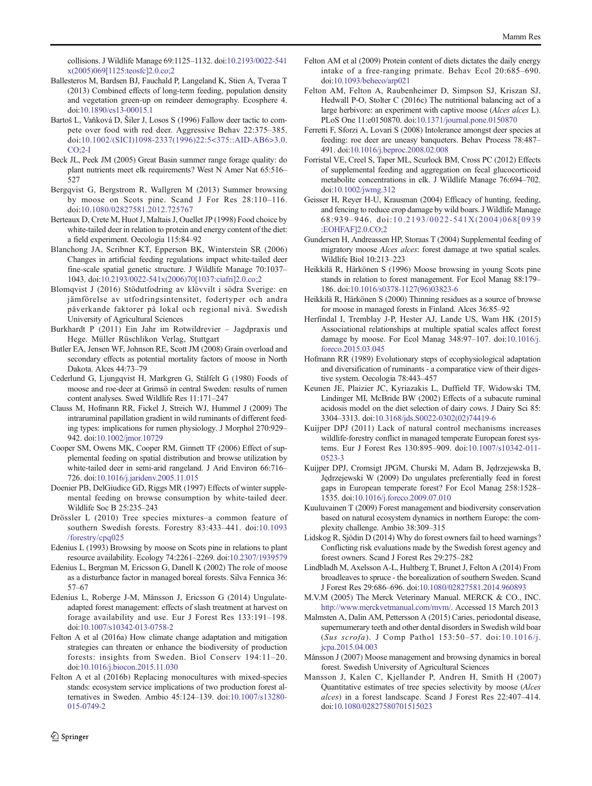<span id="page-5-0"></span>collisions. J Wildlife Manage 69:1125–1132. doi[:10.2193/0022-541](http://dx.doi.org/10.2193/0022-541x(2005)069%5B1125:teosfc%5D2.0.co;2) [x\(2005\)069\[1125:teosfc\]2.0.co;2](http://dx.doi.org/10.2193/0022-541x(2005)069%5B1125:teosfc%5D2.0.co;2)

- Ballesteros M, Bardsen BJ, Fauchald P, Langeland K, Stien A, Tveraa T (2013) Combined effects of long-term feeding, population density and vegetation green-up on reindeer demography. Ecosphere 4. doi:[10.1890/es13-00015.1](http://dx.doi.org/10.1890/es13-00015.1)
- Bartoš L, Vaňková D, Šiler J, Losos S (1996) Fallow deer tactic to compete over food with red deer. Aggressive Behav 22:375–385. doi:[10.1002/\(SICI\)1098-2337\(1996\)22:5<375::AID-AB6>3.0.](http://dx.doi.org/10.1002/(SICI)1098-2337(1996)22:5%3C375::AID-AB6%3E3.0.CO;2-I)  $CO:2-I$
- Beck JL, Peek JM (2005) Great Basin summer range forage quality: do plant nutrients meet elk requirements? West N Amer Nat 65:516– 527
- Bergqvist G, Bergstrom R, Wallgren M (2013) Summer browsing by moose on Scots pine. Scand J For Res 28:110–116. doi[:10.1080/02827581.2012.725767](http://dx.doi.org/10.1080/02827581.2012.725767)
- Berteaux D, Crete M, Huot J, Maltais J, Ouellet JP (1998) Food choice by white-tailed deer in relation to protein and energy content of the diet: a field experiment. Oecologia 115:84–92
- Blanchong JA, Scribner KT, Epperson BK, Winterstein SR (2006) Changes in artificial feeding regulations impact white-tailed deer fine-scale spatial genetic structure. J Wildlife Manage 70:1037– 1043. doi[:10.2193/0022-541x\(2006\)70\[1037:ciafri\]2.0.co;2](http://dx.doi.org/10.2193/0022-541x(2006)70%5B1037:ciafri%5D2.0.co;2)
- Blomqvist J (2016) Stödutfodring av klövvilt i södra Sverige: en jämförelse av utfodringsintensitet, fodertyper och andra påverkande faktorer på lokal och regional nivå. Swedish University of Agricultural Sciences
- Burkhardt P (2011) Ein Jahr im Rotwildrevier Jagdpraxis und Hege. Müller Rüschlikon Verlag, Stuttgart
- Butler EA, Jensen WF, Johnson RE, Scott JM (2008) Grain overload and secondary effects as potential mortality factors of moose in North Dakota. Alces 44:73–79
- Cederlund G, Ljungqvist H, Markgren G, Stålfelt G (1980) Foods of moose and roe-deer at Grimsö in central Sweden: results of rumen content analyses. Swed Wildlife Res 11:171–247
- Clauss M, Hofmann RR, Fickel J, Streich WJ, Hummel J (2009) The intraruminal papillation gradient in wild ruminants of different feeding types: implications for rumen physiology. J Morphol 270:929– 942. doi[:10.1002/jmor.10729](http://dx.doi.org/10.1002/jmor.10729)
- Cooper SM, Owens MK, Cooper RM, Ginnett TF (2006) Effect of supplemental feeding on spatial distribution and browse utilization by white-tailed deer in semi-arid rangeland. J Arid Environ 66:716– 726. doi[:10.1016/j.jaridenv.2005.11.015](http://dx.doi.org/10.1016/j.jaridenv.2005.11.015)
- Doenier PB, DelGiudice GD, Riggs MR (1997) Effects of winter supplemental feeding on browse consumption by white-tailed deer. Wildlife Soc B 25:235–243
- Drössler L (2010) Tree species mixtures–a common feature of southern Swedish forests. Forestry 83:433–441. doi:[10.1093](http://dx.doi.org/10.1093/forestry/cpq025) [/forestry/cpq025](http://dx.doi.org/10.1093/forestry/cpq025)
- Edenius L (1993) Browsing by moose on Scots pine in relations to plant resource availability. Ecology 74:2261–2269. doi[:10.2307/1939579](http://dx.doi.org/10.2307/1939579)
- Edenius L, Bergman M, Ericsson G, Danell K (2002) The role of moose as a disturbance factor in managed boreal forests. Silva Fennica 36: 57–67
- Edenius L, Roberge J-M, Månsson J, Ericsson G (2014) Ungulateadapted forest management: effects of slash treatment at harvest on forage availability and use. Eur J Forest Res 133:191–198. doi:[10.1007/s10342-013-0758-2](http://dx.doi.org/10.1007/s10342-013-0758-2)
- Felton A et al (2016a) How climate change adaptation and mitigation strategies can threaten or enhance the biodiversity of production forests: insights from Sweden. Biol Conserv 194:11–20. doi:[10.1016/j.biocon.2015.11.030](http://dx.doi.org/10.1016/j.biocon.2015.11.030)
- Felton A et al (2016b) Replacing monocultures with mixed-species stands: ecosystem service implications of two production forest alternatives in Sweden. Ambio 45:124–139. doi:[10.1007/s13280-](http://dx.doi.org/10.1007/s13280-015-0749-2) [015-0749-2](http://dx.doi.org/10.1007/s13280-015-0749-2)
- Felton AM et al (2009) Protein content of diets dictates the daily energy intake of a free-ranging primate. Behav Ecol 20:685–690. doi:[10.1093/beheco/arp021](http://dx.doi.org/10.1093/beheco/arp021)
- Felton AM, Felton A, Raubenheimer D, Simpson SJ, Kriszan SJ, Hedwall P-O, Stolter C (2016c) The nutritional balancing act of a large herbivore: an experiment with captive moose (Alces alces L). PLoS One 11:e0150870. doi[:10.1371/journal.pone.0150870](http://dx.doi.org/10.1371/journal.pone.0150870)
- Ferretti F, Sforzi A, Lovari S (2008) Intolerance amongst deer species at feeding: roe deer are uneasy banqueters. Behav Process 78:487– 491. doi[:10.1016/j.beproc.2008.02.008](http://dx.doi.org/10.1016/j.beproc.2008.02.008)
- Forristal VE, Creel S, Taper ML, Scurlock BM, Cross PC (2012) Effects of supplemental feeding and aggregation on fecal glucocorticoid metabolite concentrations in elk. J Wildlife Manage 76:694–702. doi:[10.1002/jwmg.312](http://dx.doi.org/10.1002/jwmg.312)
- Geisser H, Reyer H-U, Krausman (2004) Efficacy of hunting, feeding, and fencing to reduce crop damage by wild boars. J Wildlife Manage 68:939–946. doi:[10.2193/0022-541X\(2004\)068\[0939](http://dx.doi.org/10.2193/0022-541X(2004)068%5B0939:EOHFAF%5D2.0.CO;2) [:EOHFAF\]2.0.CO;2](http://dx.doi.org/10.2193/0022-541X(2004)068%5B0939:EOHFAF%5D2.0.CO;2)
- Gundersen H, Andreassen HP, Storaas T (2004) Supplemental feeding of migratory moose Alces alces: forest damage at two spatial scales. Wildlife Biol 10:213–223
- Heikkilä R, Härkönen S (1996) Moose browsing in young Scots pine stands in relation to forest management. For Ecol Manag 88:179– 186. doi[:10.1016/s0378-1127\(96\)03823-6](http://dx.doi.org/10.1016/s0378-1127(96)03823-6)
- Heikkilä R, Härkönen S (2000) Thinning residues as a source of browse for moose in managed forests in Finland. Alces 36:85–92
- Herfindal I, Tremblay J-P, Hester AJ, Lande US, Wam HK (2015) Associational relationships at multiple spatial scales affect forest damage by moose. For Ecol Manag 348:97–107. doi[:10.1016/j.](http://dx.doi.org/10.1016/j.foreco.2015.03.045) [foreco.2015.03.045](http://dx.doi.org/10.1016/j.foreco.2015.03.045)
- Hofmann RR (1989) Evolutionary steps of ecophysiological adaptation and diversification of ruminants - a comparatice view of their digestive system. Oecologia 78:443–457
- Keunen JE, Plaizier JC, Kyriazakis L, Duffield TF, Widowski TM, Lindinger MI, McBride BW (2002) Effects of a subacute ruminal acidosis model on the diet selection of dairy cows. J Dairy Sci 85: 3304–3313. doi[:10.3168/jds.S0022-0302\(02\)74419-6](http://dx.doi.org/10.3168/jds.S0022-0302(02)74419-6)
- Kuijper DPJ (2011) Lack of natural control mechanisms increases wildlife-forestry conflict in managed temperate European forest systems. Eur J Forest Res 130:895–909. doi[:10.1007/s10342-011-](http://dx.doi.org/10.1007/s10342-011-0523-3) [0523-3](http://dx.doi.org/10.1007/s10342-011-0523-3)
- Kuijper DPJ, Cromsigt JPGM, Churski M, Adam B, Jędrzejewska B, Jędrzejewski W (2009) Do ungulates preferentially feed in forest gaps in European temperate forest? For Ecol Manag 258:1528– 1535. doi:[10.1016/j.foreco.2009.07.010](http://dx.doi.org/10.1016/j.foreco.2009.07.010)
- Kuuluvainen T (2009) Forest management and biodiversity conservation based on natural ecosystem dynamics in northern Europe: the complexity challenge. Ambio 38:309–315
- Lidskog R, Sjödin D (2014) Why do forest owners fail to heed warnings? Conflicting risk evaluations made by the Swedish forest agency and forest owners. Scand J Forest Res 29:275–282
- Lindbladh M, Axelsson A-L, Hultberg T, Brunet J, Felton A (2014) From broadleaves to spruce - the borealization of southern Sweden. Scand J Forest Res 29:686–696. doi[:10.1080/02827581.2014.960893](http://dx.doi.org/10.1080/02827581.2014.960893)
- M.V.M (2005) The Merck Veterinary Manual. MERCK & CO., INC. [http://www.merckvetmanual.com/mvm/.](http://www.merckvetmanual.com/mvm/) Accessed 15 March 2013
- Malmsten A, Dalin AM, Pettersson A (2015) Caries, periodontal disease, supernumerary teeth and other dental disorders in Swedish wild boar (Sus scrofa). J Comp Pathol 153:50–57. doi:[10.1016/j.](http://dx.doi.org/10.1016/j.jcpa.2015.04.003) [jcpa.2015.04.003](http://dx.doi.org/10.1016/j.jcpa.2015.04.003)
- Månsson J (2007) Moose management and browsing dynamics in boreal forest. Swedish University of Agricultural Sciences
- Mansson J, Kalen C, Kjellander P, Andren H, Smith H (2007) Quantitative estimates of tree species selectivity by moose (Alces alces) in a forest landscape. Scand J Forest Res 22:407–414. doi:[10.1080/02827580701515023](http://dx.doi.org/10.1080/02827580701515023)